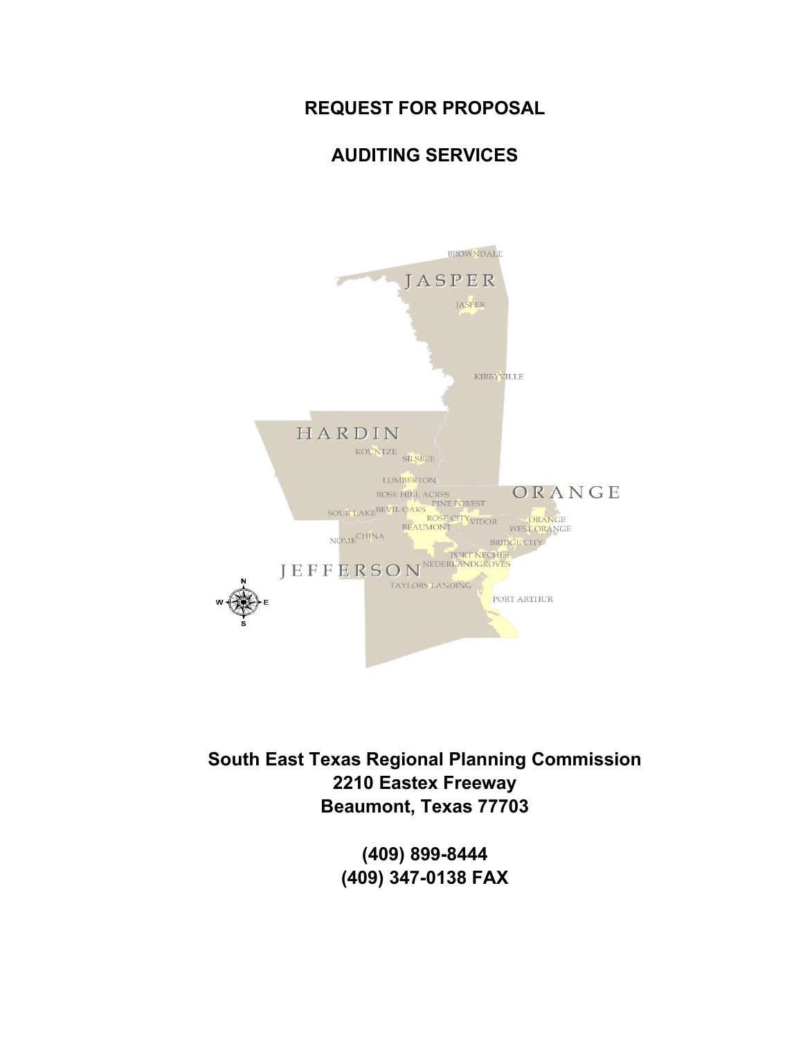#### **REQUEST FOR PROPOSAL**

#### **AUDITING SERVICES**



**South East Texas Regional Planning Commission 2210 Eastex Freeway Beaumont, Texas 77703**

> **(409) 899-8444 (409) 347-0138 FAX**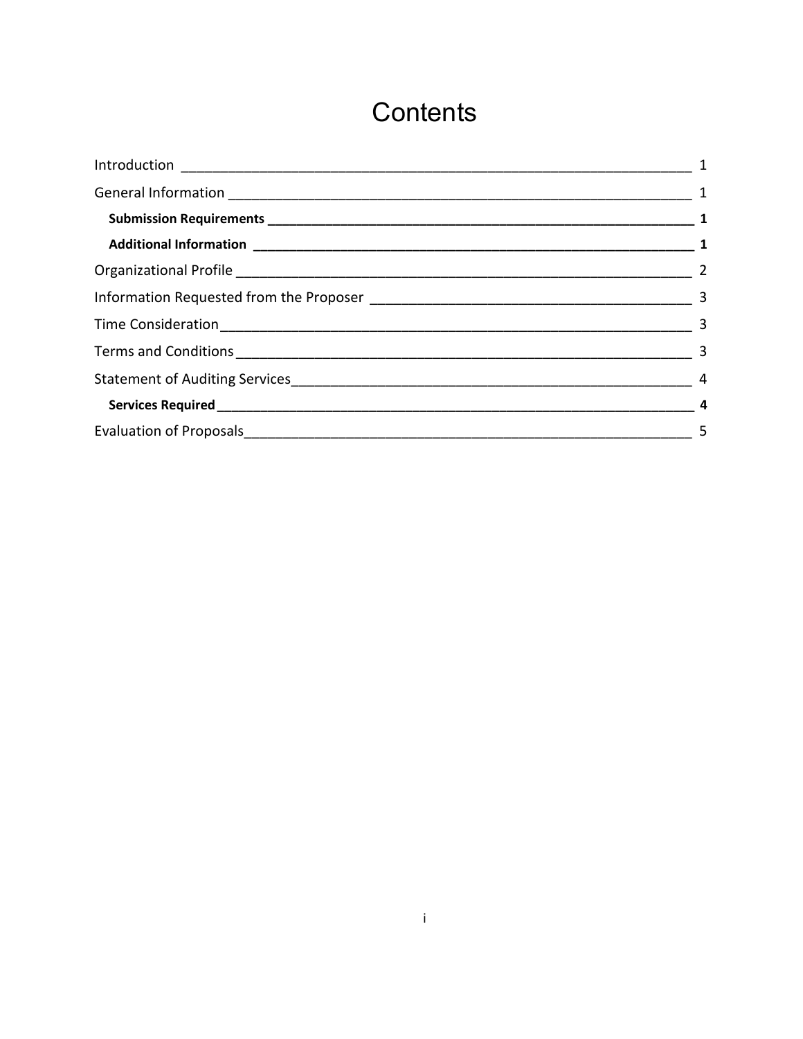# Contents

| $\frac{1}{\sqrt{2}}$ 5 |
|------------------------|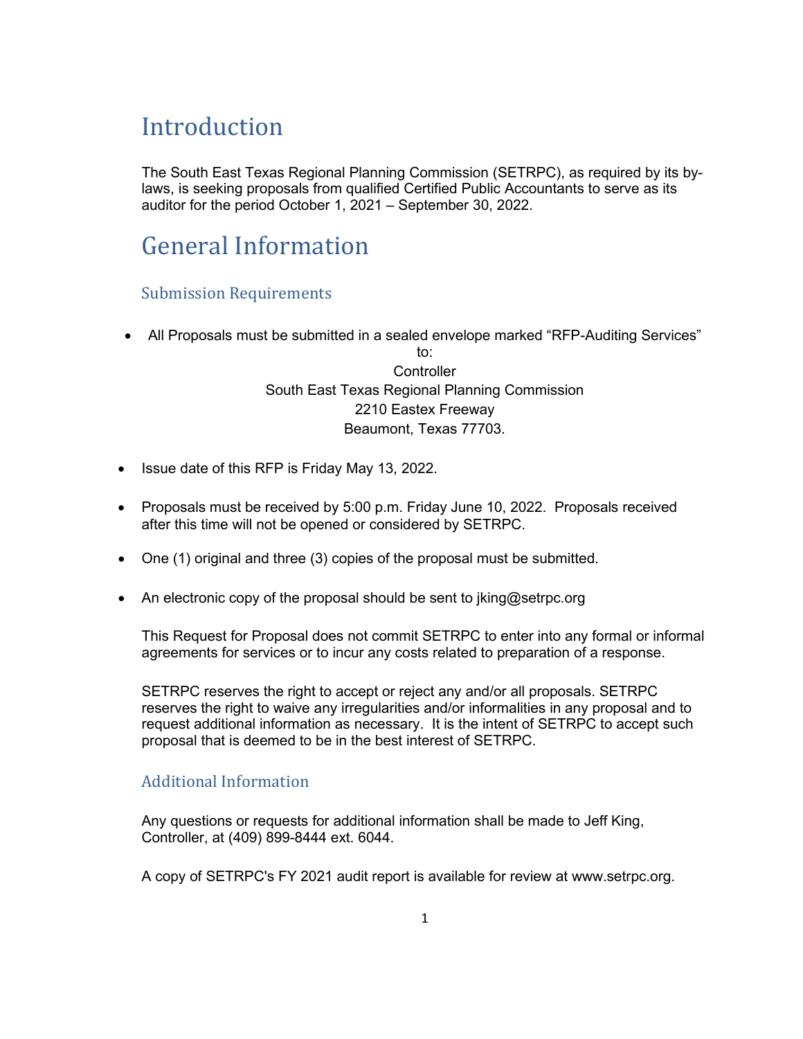# <span id="page-2-0"></span>**Introduction**

The South East Texas Regional Planning Commission (SETRPC), as required by its bylaws, is seeking proposals from qualified Certified Public Accountants to serve as its auditor for the period October 1, 2021 – September 30, 2022.

## <span id="page-2-1"></span>General Information

#### <span id="page-2-2"></span>Submission Requirements

• All Proposals must be submitted in a sealed envelope marked "RFP-Auditing Services" to:

**Controller** South East Texas Regional Planning Commission 2210 Eastex Freeway Beaumont, Texas 77703.

- Issue date of this RFP is Friday May 13, 2022.
- Proposals must be received by 5:00 p.m. Friday June 10, 2022. Proposals received after this time will not be opened or considered by SETRPC.
- One (1) original and three (3) copies of the proposal must be submitted.
- An electronic copy of the proposal should be sent to jking@setrpc.org

This Request for Proposal does not commit SETRPC to enter into any formal or informal agreements for services or to incur any costs related to preparation of a response.

SETRPC reserves the right to accept or reject any and/or all proposals. SETRPC reserves the right to waive any irregularities and/or informalities in any proposal and to request additional information as necessary. It is the intent of SETRPC to accept such proposal that is deemed to be in the best interest of SETRPC.

#### <span id="page-2-3"></span>Additional Information

Any questions or requests for additional information shall be made to Jeff King, Controller, at (409) 899-8444 ext. 6044.

A copy of SETRPC's FY 2021 audit report is available for review at www.setrpc.org.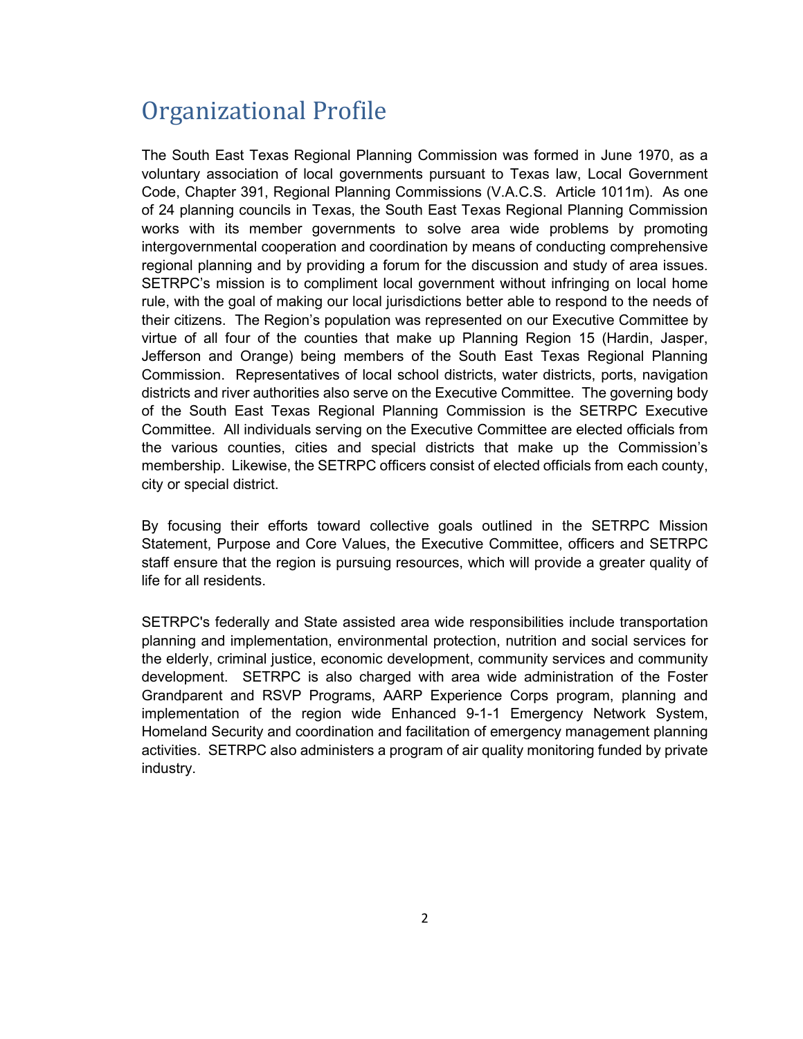### <span id="page-3-0"></span>Organizational Profile

The South East Texas Regional Planning Commission was formed in June 1970, as a voluntary association of local governments pursuant to Texas law, Local Government Code, Chapter 391, Regional Planning Commissions (V.A.C.S. Article 1011m). As one of 24 planning councils in Texas, the South East Texas Regional Planning Commission works with its member governments to solve area wide problems by promoting intergovernmental cooperation and coordination by means of conducting comprehensive regional planning and by providing a forum for the discussion and study of area issues. SETRPC's mission is to compliment local government without infringing on local home rule, with the goal of making our local jurisdictions better able to respond to the needs of their citizens. The Region's population was represented on our Executive Committee by virtue of all four of the counties that make up Planning Region 15 (Hardin, Jasper, Jefferson and Orange) being members of the South East Texas Regional Planning Commission. Representatives of local school districts, water districts, ports, navigation districts and river authorities also serve on the Executive Committee. The governing body of the South East Texas Regional Planning Commission is the SETRPC Executive Committee. All individuals serving on the Executive Committee are elected officials from the various counties, cities and special districts that make up the Commission's membership. Likewise, the SETRPC officers consist of elected officials from each county, city or special district.

By focusing their efforts toward collective goals outlined in the SETRPC Mission Statement, Purpose and Core Values, the Executive Committee, officers and SETRPC staff ensure that the region is pursuing resources, which will provide a greater quality of life for all residents.

SETRPC's federally and State assisted area wide responsibilities include transportation planning and implementation, environmental protection, nutrition and social services for the elderly, criminal justice, economic development, community services and community development. SETRPC is also charged with area wide administration of the Foster Grandparent and RSVP Programs, AARP Experience Corps program, planning and implementation of the region wide Enhanced 9-1-1 Emergency Network System, Homeland Security and coordination and facilitation of emergency management planning activities. SETRPC also administers a program of air quality monitoring funded by private industry.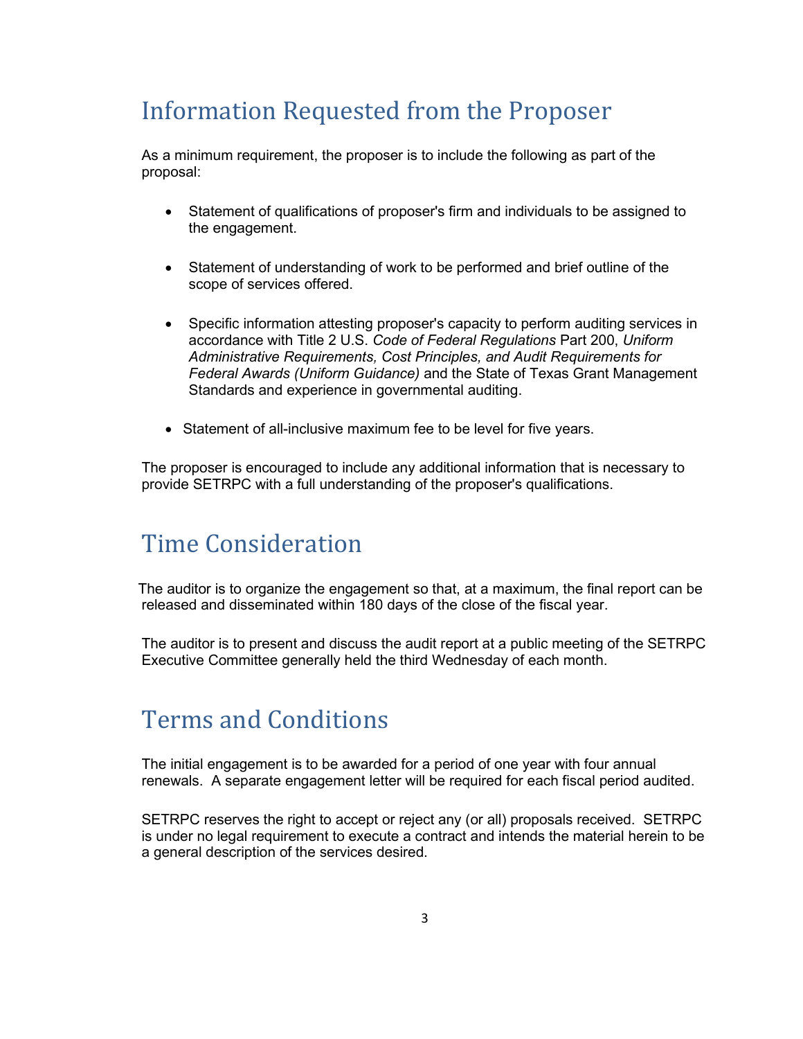# <span id="page-4-0"></span>Information Requested from the Proposer

As a minimum requirement, the proposer is to include the following as part of the proposal:

- Statement of qualifications of proposer's firm and individuals to be assigned to the engagement.
- Statement of understanding of work to be performed and brief outline of the scope of services offered.
- Specific information attesting proposer's capacity to perform auditing services in accordance with Title 2 U.S. *Code of Federal Regulations* Part 200, *Uniform Administrative Requirements, Cost Principles, and Audit Requirements for Federal Awards (Uniform Guidance)* and the State of Texas Grant Management Standards and experience in governmental auditing.
- Statement of all-inclusive maximum fee to be level for five years.

The proposer is encouraged to include any additional information that is necessary to provide SETRPC with a full understanding of the proposer's qualifications.

### <span id="page-4-1"></span>Time Consideration

 The auditor is to organize the engagement so that, at a maximum, the final report can be released and disseminated within 180 days of the close of the fiscal year.

The auditor is to present and discuss the audit report at a public meeting of the SETRPC Executive Committee generally held the third Wednesday of each month.

### <span id="page-4-2"></span>Terms and Conditions

The initial engagement is to be awarded for a period of one year with four annual renewals. A separate engagement letter will be required for each fiscal period audited.

SETRPC reserves the right to accept or reject any (or all) proposals received. SETRPC is under no legal requirement to execute a contract and intends the material herein to be a general description of the services desired.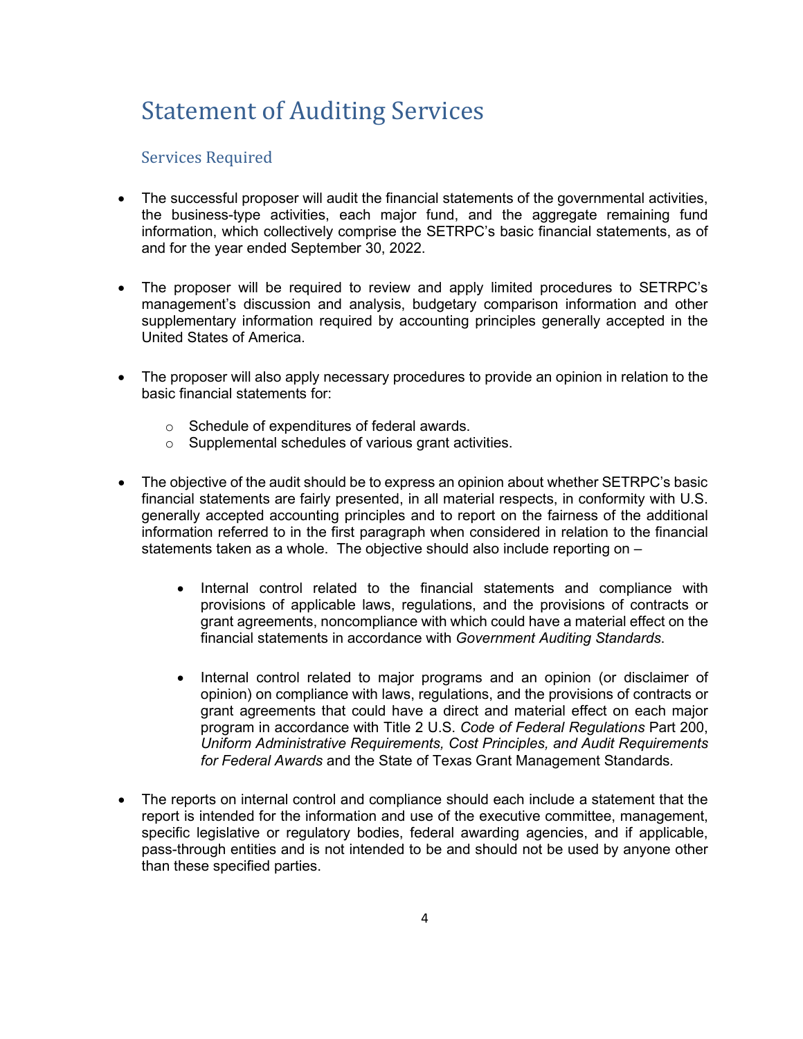# <span id="page-5-0"></span>Statement of Auditing Services

#### <span id="page-5-1"></span>Services Required

- The successful proposer will audit the financial statements of the governmental activities, the business-type activities, each major fund, and the aggregate remaining fund information, which collectively comprise the SETRPC's basic financial statements, as of and for the year ended September 30, 2022.
- The proposer will be required to review and apply limited procedures to SETRPC's management's discussion and analysis, budgetary comparison information and other supplementary information required by accounting principles generally accepted in the United States of America.
- The proposer will also apply necessary procedures to provide an opinion in relation to the basic financial statements for:
	- o Schedule of expenditures of federal awards.
	- o Supplemental schedules of various grant activities.
- The objective of the audit should be to express an opinion about whether SETRPC's basic financial statements are fairly presented, in all material respects, in conformity with U.S. generally accepted accounting principles and to report on the fairness of the additional information referred to in the first paragraph when considered in relation to the financial statements taken as a whole. The objective should also include reporting on –
	- Internal control related to the financial statements and compliance with provisions of applicable laws, regulations, and the provisions of contracts or grant agreements, noncompliance with which could have a material effect on the financial statements in accordance with *Government Auditing Standards*.
	- Internal control related to major programs and an opinion (or disclaimer of opinion) on compliance with laws, regulations, and the provisions of contracts or grant agreements that could have a direct and material effect on each major program in accordance with Title 2 U.S. *Code of Federal Regulations* Part 200, *Uniform Administrative Requirements, Cost Principles, and Audit Requirements for Federal Awards* and the State of Texas Grant Management Standards*.*
- The reports on internal control and compliance should each include a statement that the report is intended for the information and use of the executive committee, management, specific legislative or regulatory bodies, federal awarding agencies, and if applicable, pass-through entities and is not intended to be and should not be used by anyone other than these specified parties.